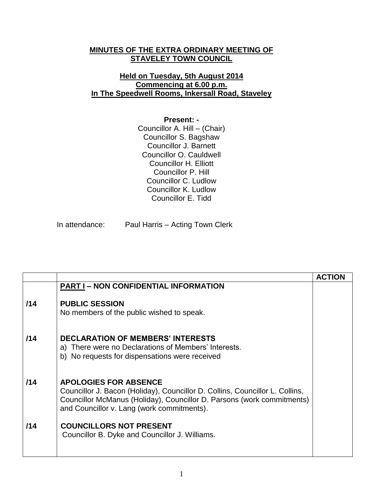## **MINUTES OF THE EXTRA ORDINARY MEETING OF STAVELEY TOWN COUNCIL**

## **Held on Tuesday, 5th August 2014 Commencing at 6.00 p.m. In The Speedwell Rooms, Inkersall Road, Staveley**

## **Present: -**

Councillor A. Hill – (Chair) Councillor S. Bagshaw Councillor J. Barnett Councillor O. Cauldwell Councillor H. Elliott Councillor P. Hill Councillor C. Ludlow Councillor K. Ludlow Councillor E. Tidd

In attendance: Paul Harris – Acting Town Clerk

|     |                                                                                                                                                                                                                                      | <b>ACTION</b> |
|-----|--------------------------------------------------------------------------------------------------------------------------------------------------------------------------------------------------------------------------------------|---------------|
|     | <b>PART I - NON CONFIDENTIAL INFORMATION</b>                                                                                                                                                                                         |               |
| /14 | <b>PUBLIC SESSION</b><br>No members of the public wished to speak.                                                                                                                                                                   |               |
| /14 | <b>DECLARATION OF MEMBERS' INTERESTS</b><br>a) There were no Declarations of Members' Interests.<br>b) No requests for dispensations were received                                                                                   |               |
| /14 | <b>APOLOGIES FOR ABSENCE</b><br>Councillor J. Bacon (Holiday), Councillor D. Collins, Councillor L. Collins,<br>Councillor McManus (Holiday), Councillor D. Parsons (work commitments)<br>and Councillor v. Lang (work commitments). |               |
| 114 | <b>COUNCILLORS NOT PRESENT</b><br>Councillor B. Dyke and Councillor J. Williams.                                                                                                                                                     |               |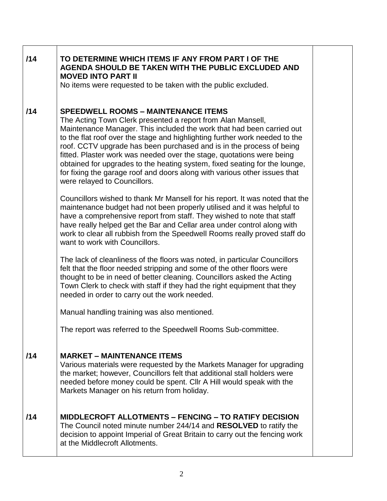| /14 | TO DETERMINE WHICH ITEMS IF ANY FROM PART I OF THE<br>AGENDA SHOULD BE TAKEN WITH THE PUBLIC EXCLUDED AND<br><b>MOVED INTO PART II</b><br>No items were requested to be taken with the public excluded.                                                                                                                                                                                                                                                                                                                                                                                                       |  |
|-----|---------------------------------------------------------------------------------------------------------------------------------------------------------------------------------------------------------------------------------------------------------------------------------------------------------------------------------------------------------------------------------------------------------------------------------------------------------------------------------------------------------------------------------------------------------------------------------------------------------------|--|
| /14 | <b>SPEEDWELL ROOMS - MAINTENANCE ITEMS</b><br>The Acting Town Clerk presented a report from Alan Mansell,<br>Maintenance Manager. This included the work that had been carried out<br>to the flat roof over the stage and highlighting further work needed to the<br>roof. CCTV upgrade has been purchased and is in the process of being<br>fitted. Plaster work was needed over the stage, quotations were being<br>obtained for upgrades to the heating system, fixed seating for the lounge,<br>for fixing the garage roof and doors along with various other issues that<br>were relayed to Councillors. |  |
|     | Councillors wished to thank Mr Mansell for his report. It was noted that the<br>maintenance budget had not been properly utilised and it was helpful to<br>have a comprehensive report from staff. They wished to note that staff<br>have really helped get the Bar and Cellar area under control along with<br>work to clear all rubbish from the Speedwell Rooms really proved staff do<br>want to work with Councillors.                                                                                                                                                                                   |  |
|     | The lack of cleanliness of the floors was noted, in particular Councillors<br>felt that the floor needed stripping and some of the other floors were<br>thought to be in need of better cleaning. Councillors asked the Acting<br>Town Clerk to check with staff if they had the right equipment that they<br>needed in order to carry out the work needed.                                                                                                                                                                                                                                                   |  |
|     | Manual handling training was also mentioned.                                                                                                                                                                                                                                                                                                                                                                                                                                                                                                                                                                  |  |
|     | The report was referred to the Speedwell Rooms Sub-committee.                                                                                                                                                                                                                                                                                                                                                                                                                                                                                                                                                 |  |
| /14 | <b>MARKET – MAINTENANCE ITEMS</b><br>Various materials were requested by the Markets Manager for upgrading<br>the market; however, Councillors felt that additional stall holders were<br>needed before money could be spent. Cllr A Hill would speak with the<br>Markets Manager on his return from holiday.                                                                                                                                                                                                                                                                                                 |  |
| /14 | <b>MIDDLECROFT ALLOTMENTS - FENCING - TO RATIFY DECISION</b><br>The Council noted minute number 244/14 and <b>RESOLVED</b> to ratify the<br>decision to appoint Imperial of Great Britain to carry out the fencing work<br>at the Middlecroft Allotments.                                                                                                                                                                                                                                                                                                                                                     |  |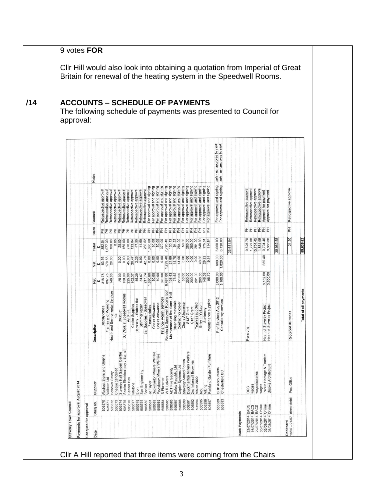|  |                      | <b>ACCOUNTS – SCHEDULE OF PAYMENTS</b><br>approval: |                      |                             |                                        |                                                                                                      |                                                |                                                                |                                                                            |                                                                                                                         |                                                 |                          |                                      |                                        |                                                           |                                                        |                                                                                                                                                                      |                                                                                                                                  |                                                         |                             |                                                                                                                                                                                                                                                                                                     | The following schedule of payments was presented to Council for       |           |                      |                           |                                                                                                                              |                                                                  |              |                                         |                       |  |
|--|----------------------|-----------------------------------------------------|----------------------|-----------------------------|----------------------------------------|------------------------------------------------------------------------------------------------------|------------------------------------------------|----------------------------------------------------------------|----------------------------------------------------------------------------|-------------------------------------------------------------------------------------------------------------------------|-------------------------------------------------|--------------------------|--------------------------------------|----------------------------------------|-----------------------------------------------------------|--------------------------------------------------------|----------------------------------------------------------------------------------------------------------------------------------------------------------------------|----------------------------------------------------------------------------------------------------------------------------------|---------------------------------------------------------|-----------------------------|-----------------------------------------------------------------------------------------------------------------------------------------------------------------------------------------------------------------------------------------------------------------------------------------------------|-----------------------------------------------------------------------|-----------|----------------------|---------------------------|------------------------------------------------------------------------------------------------------------------------------|------------------------------------------------------------------|--------------|-----------------------------------------|-----------------------|--|
|  |                      |                                                     |                      | <b>Notes</b>                |                                        |                                                                                                      |                                                |                                                                |                                                                            |                                                                                                                         |                                                 |                          |                                      |                                        |                                                           |                                                        |                                                                                                                                                                      |                                                                                                                                  |                                                         |                             |                                                                                                                                                                                                                                                                                                     | note - not approved by clerk<br>note - not approved by clerk          |           |                      |                           |                                                                                                                              |                                                                  |              |                                         |                       |  |
|  |                      |                                                     |                      | Council                     |                                        | Retrospective approval<br>Retrospective approval<br>Retrospective approval<br>Retrospective approval | Retrospective approva                          | Retrospective approval                                         | Retrospective approval<br>Retrospective approval<br>Retrospective approval |                                                                                                                         | Retrospective approval<br>Retrospective approva | For approval and signing | For approval and signing             |                                        |                                                           |                                                        | For approval and signing<br>For approval and signing<br>Pro approval and signing<br>For approval and signing<br>For approval and signing<br>For approval and signing | approval and signing<br>For                                                                                                      | For approval and signing<br>approval and signing<br>For | and signing<br>For approval | and signing<br>and signing<br>levordde<br>evordde<br>$\overline{6}$<br>Εōτ                                                                                                                                                                                                                          | signing<br>signing<br>and :<br>s jexoude<br>approval<br>$\frac{5}{5}$ |           |                      |                           | Retrospective approval<br>Retrospective approval<br>Retrospective approval<br>Retrospective approval<br>Approval for payment |                                                                  |              | Retrospective approva                   |                       |  |
|  |                      |                                                     |                      | Clerk<br><b>Total</b>       | $\frac{6}{382}$<br>168.                |                                                                                                      | <u> 동물 동물 동물 동물 동물 동물 동물 동물 동물 동물 동물 동물 동물</u> |                                                                |                                                                            |                                                                                                                         |                                                 |                          |                                      |                                        |                                                           |                                                        |                                                                                                                                                                      |                                                                                                                                  |                                                         |                             | $\begin{array}{l} 38.88 \\ 26.89 \\ 38.89 \\ 56.89 \\ 67.89 \\ 72.89 \\ 83.89 \\ 72.80 \\ 72.80 \\ 72.80 \\ 72.80 \\ 72.80 \\ 72.80 \\ 72.80 \\ 72.80 \\ 72.80 \\ 72.80 \\ 72.80 \\ 72.80 \\ 72.80 \\ 72.80 \\ 72.80 \\ 72.80 \\ 72.80 \\ 72.80 \\ 72.80 \\ 72.80 \\ 72.80 \\ 72.80 \\ 72.80 \\ 72$ | 3,600.00<br>6,120.00                                                  | 23,651.84 |                      |                           | 医舌舌舌舌舌<br>9,526.70<br>1,722.08<br>1,564.45<br>1,564.40<br>3,600.00                                                           |                                                                  | 58<br>35,962 | 폾<br>21.20                              | 59,635.62             |  |
|  |                      |                                                     |                      |                             | Vat<br>£ 63.76<br>179.55<br>28.00      |                                                                                                      |                                                |                                                                |                                                                            |                                                                                                                         |                                                 |                          |                                      |                                        |                                                           |                                                        |                                                                                                                                                                      |                                                                                                                                  |                                                         |                             |                                                                                                                                                                                                                                                                                                     | 600.00                                                                |           |                      |                           |                                                                                                                              | $\overline{a}$<br>632.                                           |              |                                         |                       |  |
|  |                      |                                                     |                      |                             | Net<br>£<br>518.78<br>597.75<br>140.00 |                                                                                                      |                                                |                                                                |                                                                            |                                                                                                                         |                                                 |                          |                                      |                                        |                                                           |                                                        |                                                                                                                                                                      |                                                                                                                                  |                                                         |                             |                                                                                                                                                                                                                                                                                                     | 3,000.00                                                              |           |                      |                           |                                                                                                                              | 3,162.00<br>3,600.00                                             |              |                                         |                       |  |
|  |                      |                                                     |                      | $\overline{5}$<br>Descripti | Display cases                          | Frames and Mounting<br>Health and Enviromental Services                                              | n/a                                            | Bouquet<br>ork at Speedwell Rooms<br>DJ Wo                     |                                                                            | Art Print<br>Copler Supplies<br>ectricity - Stables flat<br>Strimmer repair<br>r Supplies - Speedwell<br>$\frac{6}{11}$ |                                                 | Finance duties<br>Bar    | Chairs Allowance<br>Chairs Allowance |                                        | Finance-Admin services<br>Repairs to Speedwell Rooms root | Maintenance of fire alarm - Hal<br>Cleansing materials |                                                                                                                                                                      | Contract for copier<br>Chairs Allowance<br>S137 Grant<br>Trophis Topilid<br>Truty in Yell.com<br>Entry in Yell.com<br>Stationery |                                                         |                             | Maintenance supplies                                                                                                                                                                                                                                                                                | Prof Services Aug 2012<br>Consultancy services                        |           |                      | Pensions                  |                                                                                                                              | f Staveley Project<br>f Staveley Project<br>Heart of<br>Heart of |              | Recorded deliveries                     | Total of all payments |  |
|  |                      |                                                     |                      | Supplier                    | Abstract Signs and Graphs              | Bolsover Safety<br>Vallaton Ltd                                                                      | Cheque cancelled                               | Sparks Electrical-pay J Barnett<br>Staveley Hall Garden Centre | Banner Box                                                                 | Infotone<br>$E$ -on                                                                                                     | Spa Engineering                                 | Jo Taylor<br>Booker      | Duckmanton Miners Welfare            | Poolsbrook Miners Welfare<br>S Plummer | W <sub>R Leivers</sub>                                    | <b>ADT Fire Security</b>                               | Safety Republic Ltd<br>Copier Systems Ltd                                                                                                                            | Duckmanton Miners Welfare<br>Staveley Armed Forces                                                                               | 2nd Inkersall Brownies                                  | Vision 2000<br>hibu         | Parkland Garden Furniture<br>Viking                                                                                                                                                                                                                                                                 | BHP Accountants<br>Chesterfield BC                                    |           |                      | wages<br>DCC              | wages/salaries<br>wages                                                                                                      | Parkin Heritage & Tourism<br>Brooke Architecture                 |              | Post Office                             |                       |  |
|  | Staveley Town Counci | Payments for approval August 2014                   | Cheques for approval | Cheq no.<br>Date            | 506570                                 | 506572<br>506571                                                                                     | 506573                                         | 506575<br>506574                                               | 506576                                                                     | 506577                                                                                                                  | 506578<br>506579<br>506580                      | 506581                   | 506582                               | 506583<br>506584                       | 506585                                                    | 506586                                                 | 506588<br>506587                                                                                                                                                     | 506590<br>506591                                                                                                                 | 506592                                                  | 506595<br>506594            | 506596<br>506597                                                                                                                                                                                                                                                                                    | 506589<br>506593                                                      |           | <b>Bank Payments</b> | <b>BACS</b><br>22/07/2014 | Online<br>BACS<br>BACS<br>22/07/2014<br>16/07/2014                                                                           | Online<br>Online<br>30/07/2014 0<br>06/08/2014 0<br>06/08/2014 0 |              | Debitcard<br>16/07 - 21/07 direct debit |                       |  |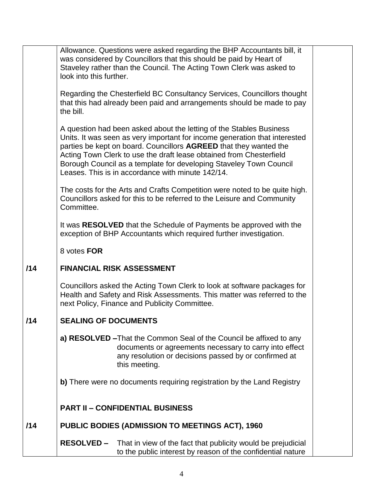|     | Allowance. Questions were asked regarding the BHP Accountants bill, it<br>was considered by Councillors that this should be paid by Heart of<br>Staveley rather than the Council. The Acting Town Clerk was asked to<br>look into this further.                                                                                                                                                                          |  |
|-----|--------------------------------------------------------------------------------------------------------------------------------------------------------------------------------------------------------------------------------------------------------------------------------------------------------------------------------------------------------------------------------------------------------------------------|--|
|     | Regarding the Chesterfield BC Consultancy Services, Councillors thought<br>that this had already been paid and arrangements should be made to pay<br>the bill.                                                                                                                                                                                                                                                           |  |
|     | A question had been asked about the letting of the Stables Business<br>Units. It was seen as very important for income generation that interested<br>parties be kept on board. Councillors AGREED that they wanted the<br>Acting Town Clerk to use the draft lease obtained from Chesterfield<br>Borough Council as a template for developing Staveley Town Council<br>Leases. This is in accordance with minute 142/14. |  |
|     | The costs for the Arts and Crafts Competition were noted to be quite high.<br>Councillors asked for this to be referred to the Leisure and Community<br>Committee.                                                                                                                                                                                                                                                       |  |
|     | It was RESOLVED that the Schedule of Payments be approved with the<br>exception of BHP Accountants which required further investigation.                                                                                                                                                                                                                                                                                 |  |
|     | 8 votes FOR                                                                                                                                                                                                                                                                                                                                                                                                              |  |
| /14 | <b>FINANCIAL RISK ASSESSMENT</b>                                                                                                                                                                                                                                                                                                                                                                                         |  |
|     | Councillors asked the Acting Town Clerk to look at software packages for<br>Health and Safety and Risk Assessments. This matter was referred to the<br>next Policy, Finance and Publicity Committee.                                                                                                                                                                                                                     |  |
| /14 | <b>SEALING OF DOCUMENTS</b>                                                                                                                                                                                                                                                                                                                                                                                              |  |
|     | a) RESOLVED - That the Common Seal of the Council be affixed to any<br>documents or agreements necessary to carry into effect<br>any resolution or decisions passed by or confirmed at<br>this meeting.                                                                                                                                                                                                                  |  |
|     | b) There were no documents requiring registration by the Land Registry                                                                                                                                                                                                                                                                                                                                                   |  |
|     | <b>PART II - CONFIDENTIAL BUSINESS</b>                                                                                                                                                                                                                                                                                                                                                                                   |  |
| /14 | PUBLIC BODIES (ADMISSION TO MEETINGS ACT), 1960                                                                                                                                                                                                                                                                                                                                                                          |  |
|     | <b>RESOLVED -</b><br>That in view of the fact that publicity would be prejudicial<br>to the public interest by reason of the confidential nature                                                                                                                                                                                                                                                                         |  |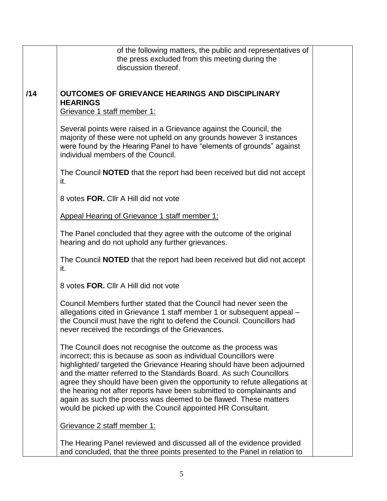|     | of the following matters, the public and representatives of<br>the press excluded from this meeting during the<br>discussion thereof.                                                                                                                                                                                                                                                                                                                                                                                                                                          |  |
|-----|--------------------------------------------------------------------------------------------------------------------------------------------------------------------------------------------------------------------------------------------------------------------------------------------------------------------------------------------------------------------------------------------------------------------------------------------------------------------------------------------------------------------------------------------------------------------------------|--|
| /14 | <b>OUTCOMES OF GRIEVANCE HEARINGS AND DISCIPLINARY</b><br><b>HEARINGS</b><br>Grievance 1 staff member 1:                                                                                                                                                                                                                                                                                                                                                                                                                                                                       |  |
|     | Several points were raised in a Grievance against the Council, the<br>majority of these were not upheld on any grounds however 3 instances<br>were found by the Hearing Panel to have "elements of grounds" against<br>individual members of the Council.                                                                                                                                                                                                                                                                                                                      |  |
|     | The Council <b>NOTED</b> that the report had been received but did not accept<br>it.                                                                                                                                                                                                                                                                                                                                                                                                                                                                                           |  |
|     | 8 votes FOR. Cllr A Hill did not vote                                                                                                                                                                                                                                                                                                                                                                                                                                                                                                                                          |  |
|     | Appeal Hearing of Grievance 1 staff member 1:                                                                                                                                                                                                                                                                                                                                                                                                                                                                                                                                  |  |
|     | The Panel concluded that they agree with the outcome of the original<br>hearing and do not uphold any further grievances.                                                                                                                                                                                                                                                                                                                                                                                                                                                      |  |
|     | The Council <b>NOTED</b> that the report had been received but did not accept<br>it.                                                                                                                                                                                                                                                                                                                                                                                                                                                                                           |  |
|     | 8 votes FOR. Cllr A Hill did not vote                                                                                                                                                                                                                                                                                                                                                                                                                                                                                                                                          |  |
|     | Council Members further stated that the Council had never seen the<br>allegations cited in Grievance 1 staff member 1 or subsequent appeal -<br>the Council must have the right to defend the Council. Councillors had<br>never received the recordings of the Grievances.                                                                                                                                                                                                                                                                                                     |  |
|     | The Council does not recognise the outcome as the process was<br>incorrect; this is because as soon as individual Councillors were<br>highlighted/ targeted the Grievance Hearing should have been adjourned<br>and the matter referred to the Standards Board. As such Councillors<br>agree they should have been given the opportunity to refute allegations at<br>the hearing not after reports have been submitted to complainants and<br>again as such the process was deemed to be flawed. These matters<br>would be picked up with the Council appointed HR Consultant. |  |
|     | Grievance 2 staff member 1:                                                                                                                                                                                                                                                                                                                                                                                                                                                                                                                                                    |  |
|     | The Hearing Panel reviewed and discussed all of the evidence provided<br>and concluded, that the three points presented to the Panel in relation to                                                                                                                                                                                                                                                                                                                                                                                                                            |  |